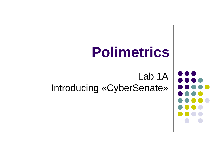# **Polimetrics** Lab 1A Introducing «CyberSenate»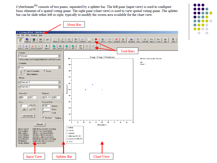$Cyber Senate^{TM}$  consists of two panes, separated by a splitter bar. The left pane (input view) is used to configure basic elements of a spatial voting game. The right pane (chart view) is used to view spatial voting game. The splitter bar can be slide either left or right, typically to modify the screen area available for the chart view.



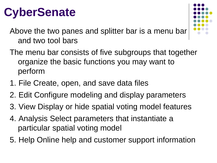# **CyberSenate**



Above the two panes and splitter bar is a menu bar and two tool bars

- The menu bar consists of five subgroups that together organize the basic functions you may want to perform
- 1. File Create, open, and save data files
- 2. Edit Configure modeling and display parameters
- 3. View Display or hide spatial voting model features
- 4. Analysis Select parameters that instantiate a particular spatial voting model
- 5. Help Online help and customer support information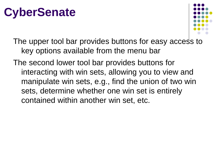## **CyberSenate**



The upper tool bar provides buttons for easy access to key options available from the menu bar

The second lower tool bar provides buttons for interacting with win sets, allowing you to view and manipulate win sets, e.g., find the union of two win sets, determine whether one win set is entirely contained within another win set, etc.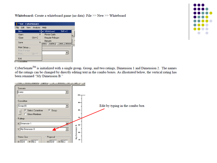Whiteboard: Create a whiteboard game (no data): File >> New >> Whiteboard

| *.txt - CyberSenate     |                |                                                          |  |  |
|-------------------------|----------------|----------------------------------------------------------|--|--|
| File Edit View Analysis |                | Heb                                                      |  |  |
| New                     |                | <b>Whiteboard</b><br>$5hft+0$                            |  |  |
| Open                    |                | Monte Carlo<br>ina.                                      |  |  |
| Close                   | $C$ tr $l + C$ | Regular Polyconi                                         |  |  |
| Save                    |                | Bargain<br>Intersect<br><b>Capture</b><br>Union<br>bshot |  |  |
| Print Setup             |                |                                                          |  |  |
| <b>Print Preview</b>    |                |                                                          |  |  |
| Print                   | $Ctr +P$       |                                                          |  |  |
| Exit                    |                |                                                          |  |  |
| l'ammittee.             |                |                                                          |  |  |



 $CyberSender^{TM}$  is initialized with a single group, Group, and two ratings, Dimension 1 and Dimension 2. The names of the ratings can be changed by directly editing text in the combo boxes. As illustrated below, the vertical rating has been renamed "My Dimension B."

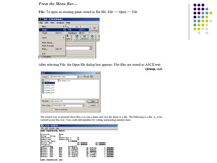#### From the Menu Bar...

File: To open an existing game stored in flat file: File >> Open >> File





After selecting File, the Open file dialog box appears. Flat files are stored as ASCII text.

Group, LLC

| Open                                                                                                    | $\mathbb{Z}$                                  |  |
|---------------------------------------------------------------------------------------------------------|-----------------------------------------------|--|
|                                                                                                         | $+ 3$ of $E$ .<br>Look jn: 3 CyberSenate_Demo |  |
| A_A.txt<br>A_Group_1.txt)<br>S<br>A_Group_3.txt<br>A_Group_4.txt<br>E<br>A Broup 5.txt<br>A_Group_6.txt | E A_Group_7.txt                               |  |
| File name:                                                                                              | A_Group_1.txt<br><b>Dpen</b>                  |  |
| Files of type:                                                                                          | Cancel<br>scenario files (".txt)              |  |
|                                                                                                         | Open as read-only                             |  |

The easiest way to generate these files is to run a demo and save the demo to a file. The following is a file, A\_A.txt, created in just this way. You could add members by cutting and pasting member lines.

| A A.txt - Notepad                                                                                                                                                                                                                                  |                                                                                                                                                                                                                |                                                                                                                  |                                                                                            |
|----------------------------------------------------------------------------------------------------------------------------------------------------------------------------------------------------------------------------------------------------|----------------------------------------------------------------------------------------------------------------------------------------------------------------------------------------------------------------|------------------------------------------------------------------------------------------------------------------|--------------------------------------------------------------------------------------------|
| File<br>Edit Format Help                                                                                                                                                                                                                           |                                                                                                                                                                                                                |                                                                                                                  |                                                                                            |
| GAME PARAMETERS BEGIN                                                                                                                                                                                                                              |                                                                                                                                                                                                                |                                                                                                                  |                                                                                            |
| Scenario<br>Group<br>Group<br>Dimension<br>Dimension<br><b>Decision Rule</b><br><b>Status Quo</b><br>Proposal<br>t ypePref Rgn<br>XX0<br><b>Member</b><br>881<br>Member<br>xx2<br>Member<br>XX3<br>Member<br>284<br>Member<br>XX5<br><b>Member</b> | Deno<br>C1.<br>Dimension 1<br>Dimension 2<br>0.500000<br>tradcoff<br>25.428571<br>XXO<br>881<br>17.142857<br><b>XX2</b><br>32.571429<br>XX3<br>78.285714<br><b>XX4</b><br>73.714286<br><b>XX5</b><br>55.428571 | D1<br>D2<br>50.000000<br>50.000000<br>68.857143<br>49.428571<br>22.000000<br>30.571429<br>65.142857<br>77.714286 | 50.000000<br>50.000000<br>1.000000<br>1.000000<br>. АААААА<br>. АААААА<br>000000<br>000000 |
| <b>PARAMETERS</b><br>CAME                                                                                                                                                                                                                          | END                                                                                                                                                                                                            |                                                                                                                  |                                                                                            |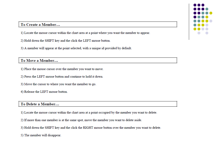#### To Create a Member...

1) Locate the mouse cursor within the chart area at a point where you want the member to appear.

2) Hold down the SHIFT key and the click the LEFT mouse button.

3) A member will appear at the point selected, with a unique id provided by default.

#### To Move a Member...

- 1) Place the mouse cursor over the member you want to move.
- 2) Press the LEFT mouse button and continue to hold it down.
- 3) Move the cursor to where you want the member to go.
- 4) Release the LEFT mouse button.

#### To Delete a Member...

1) Locate the mouse cursor within the chart area at a point occupied by the member you want to delete.

- 2) If more than one member is at the same spot, move the member you want to delete aside.
- 3) Hold down the SHIFT key and the click the RIGHT mouse button over the member you want to delete.

5) The member will disappear.

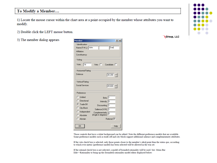#### To Modify a Member...

1) Locate the mouse cursor within the chart area at a point occupied by the member whose attributes you want to modify.

2) Double click the LEFT mouse button.

3) The member dialog appears

| <b>Member</b>                                                                                                               | ? X                                                                                                                            |
|-----------------------------------------------------------------------------------------------------------------------------|--------------------------------------------------------------------------------------------------------------------------------|
| Identification<br>Name (F M L): John<br><b>Affiliation:</b><br>Constituency:                                                | Doe                                                                                                                            |
| Voting<br>14<br>Vote:                                                                                                       | Veto $\Box$ Candidate $\Box$                                                                                                   |
| Horizontal Rating<br>Defense                                                                                                | $\sqrt{30.200}$ -                                                                                                              |
| Vertical Rating<br>Social Services                                                                                          | $49.600$ -                                                                                                                     |
| Preference<br>C Unified<br>C Directional<br>$\bullet$ Trade-Off<br>C City Block<br>C Independent<br>C Absolute<br>C Abstain | Beta $ 1$<br>Intensity 0<br>Discounting  1<br>Salience (V/H) 1<br>Complementarity 0<br>(Angle in degrees)<br><b>Rational ▽</b> |
| OK                                                                                                                          | Help                                                                                                                           |

Group, LLC



Those controls that have a white background can be edited. Note the different preference models that are available. Some preference models such as trade-off and city-block support additional salience and complementarity attributes.

If the veto check box is selected, only those points closer to the member's ideal point than the status quo, according to which ever metric (preference model) has been selected will be allowed in the win set.

If the rational check box is not selected, a model of bounded rationality will be used. See: Menu Bar Edit>>Rationality to bring up the (bounded) rationality model editor displayed below: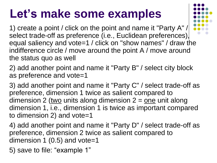## **Let's make some examples**

1) create a point / click on the point and name it "Party A" / select trade-off as preference (i.e., Euclidean preferences), equal saliency and vote=1 / click on "show names" / draw the indifference circle / move around the point A / move around the status quo as well

2) add another point and name it "Party B" / select city block as preference and vote=1

3) add another point and name it "Party C" / select trade-off as preference, dimension 1 twice as salient compared to dimension 2 (two units along dimension  $2 =$  one unit along dimension 1, i.e., dimension 1 is twice as important compared to dimension 2) and vote=1

4) add another point and name it "Party D" / select trade-off as preference, dimension 2 twice as salient compared to dimension 1 (0.5) and vote=1

5) save to file: "example 1"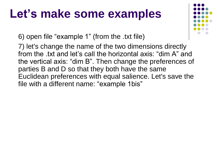### **Let's make some examples**

6) open file "example 1" (from the .txt file)

7) let's change the name of the two dimensions directly from the .txt and let's call the horizontal axis: "dim A" and the vertical axis: "dim B". Then change the preferences of parties B and D so that they both have the same Euclidean preferences with equal salience. Let's save the file with a different name: "example 1bis"